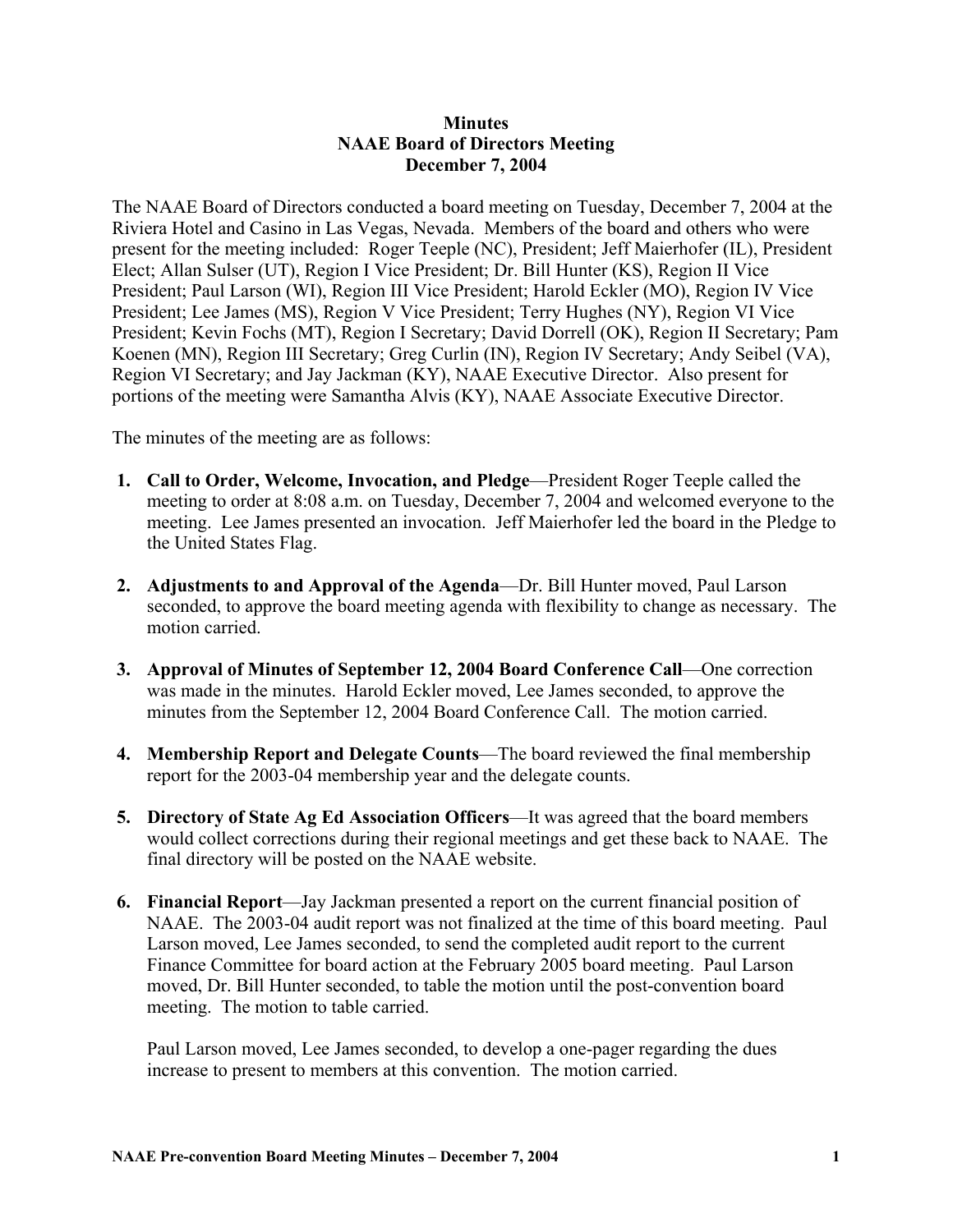## **Minutes NAAE Board of Directors Meeting December 7, 2004**

The NAAE Board of Directors conducted a board meeting on Tuesday, December 7, 2004 at the Riviera Hotel and Casino in Las Vegas, Nevada. Members of the board and others who were present for the meeting included: Roger Teeple (NC), President; Jeff Maierhofer (IL), President Elect; Allan Sulser (UT), Region I Vice President; Dr. Bill Hunter (KS), Region II Vice President; Paul Larson (WI), Region III Vice President; Harold Eckler (MO), Region IV Vice President; Lee James (MS), Region V Vice President; Terry Hughes (NY), Region VI Vice President; Kevin Fochs (MT), Region I Secretary; David Dorrell (OK), Region II Secretary; Pam Koenen (MN), Region III Secretary; Greg Curlin (IN), Region IV Secretary; Andy Seibel (VA), Region VI Secretary; and Jay Jackman (KY), NAAE Executive Director. Also present for portions of the meeting were Samantha Alvis (KY), NAAE Associate Executive Director.

The minutes of the meeting are as follows:

- **1. Call to Order, Welcome, Invocation, and Pledge**—President Roger Teeple called the meeting to order at 8:08 a.m. on Tuesday, December 7, 2004 and welcomed everyone to the meeting. Lee James presented an invocation. Jeff Maierhofer led the board in the Pledge to the United States Flag.
- **2. Adjustments to and Approval of the Agenda**—Dr. Bill Hunter moved, Paul Larson seconded, to approve the board meeting agenda with flexibility to change as necessary. The motion carried.
- **3. Approval of Minutes of September 12, 2004 Board Conference Call**—One correction was made in the minutes. Harold Eckler moved, Lee James seconded, to approve the minutes from the September 12, 2004 Board Conference Call. The motion carried.
- **4. Membership Report and Delegate Counts**—The board reviewed the final membership report for the 2003-04 membership year and the delegate counts.
- **5. Directory of State Ag Ed Association Officers**—It was agreed that the board members would collect corrections during their regional meetings and get these back to NAAE. The final directory will be posted on the NAAE website.
- **6. Financial Report**—Jay Jackman presented a report on the current financial position of NAAE. The 2003-04 audit report was not finalized at the time of this board meeting. Paul Larson moved, Lee James seconded, to send the completed audit report to the current Finance Committee for board action at the February 2005 board meeting. Paul Larson moved, Dr. Bill Hunter seconded, to table the motion until the post-convention board meeting. The motion to table carried.

Paul Larson moved, Lee James seconded, to develop a one-pager regarding the dues increase to present to members at this convention. The motion carried.